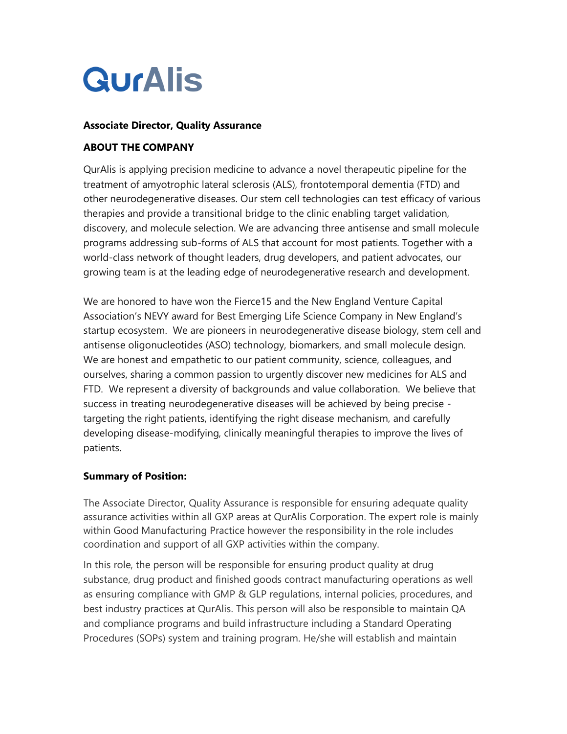# **QurAlis**

#### **Associate Director, Quality Assurance**

#### **ABOUT THE COMPANY**

QurAlis is applying precision medicine to advance a novel therapeutic pipeline for the treatment of amyotrophic lateral sclerosis (ALS), frontotemporal dementia (FTD) and other neurodegenerative diseases. Our stem cell technologies can test efficacy of various therapies and provide a transitional bridge to the clinic enabling target validation, discovery, and molecule selection. We are advancing three antisense and small molecule programs addressing sub-forms of ALS that account for most patients. Together with a world-class network of thought leaders, drug developers, and patient advocates, our growing team is at the leading edge of neurodegenerative research and development.

We are honored to have won the Fierce15 and the New England Venture Capital Association's NEVY award for Best Emerging Life Science Company in New England's startup ecosystem. We are pioneers in neurodegenerative disease biology, stem cell and antisense oligonucleotides (ASO) technology, biomarkers, and small molecule design. We are honest and empathetic to our patient community, science, colleagues, and ourselves, sharing a common passion to urgently discover new medicines for ALS and FTD. We represent a diversity of backgrounds and value collaboration. We believe that success in treating neurodegenerative diseases will be achieved by being precise targeting the right patients, identifying the right disease mechanism, and carefully developing disease-modifying, clinically meaningful therapies to improve the lives of patients.

#### **Summary of Position:**

The Associate Director, Quality Assurance is responsible for ensuring adequate quality assurance activities within all GXP areas at QurAlis Corporation. The expert role is mainly within Good Manufacturing Practice however the responsibility in the role includes coordination and support of all GXP activities within the company.

In this role, the person will be responsible for ensuring product quality at drug substance, drug product and finished goods contract manufacturing operations as well as ensuring compliance with GMP & GLP regulations, internal policies, procedures, and best industry practices at QurAlis. This person will also be responsible to maintain QA and compliance programs and build infrastructure including a Standard Operating Procedures (SOPs) system and training program. He/she will establish and maintain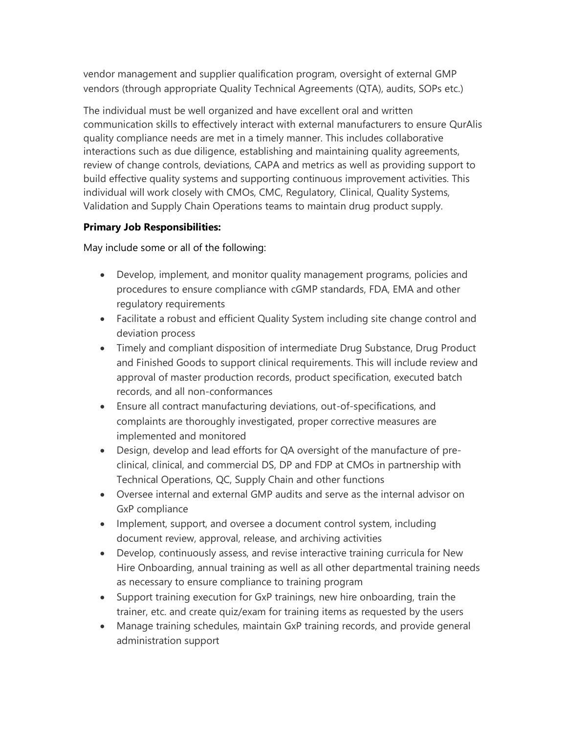vendor management and supplier qualification program, oversight of external GMP vendors (through appropriate Quality Technical Agreements (QTA), audits, SOPs etc.)

The individual must be well organized and have excellent oral and written communication skills to effectively interact with external manufacturers to ensure QurAlis quality compliance needs are met in a timely manner. This includes collaborative interactions such as due diligence, establishing and maintaining quality agreements, review of change controls, deviations, CAPA and metrics as well as providing support to build effective quality systems and supporting continuous improvement activities. This individual will work closely with CMOs, CMC, Regulatory, Clinical, Quality Systems, Validation and Supply Chain Operations teams to maintain drug product supply.

### **Primary Job Responsibilities:**

May include some or all of the following:

- Develop, implement, and monitor quality management programs, policies and procedures to ensure compliance with cGMP standards, FDA, EMA and other regulatory requirements
- Facilitate a robust and efficient Quality System including site change control and deviation process
- Timely and compliant disposition of intermediate Drug Substance, Drug Product and Finished Goods to support clinical requirements. This will include review and approval of master production records, product specification, executed batch records, and all non-conformances
- Ensure all contract manufacturing deviations, out-of-specifications, and complaints are thoroughly investigated, proper corrective measures are implemented and monitored
- Design, develop and lead efforts for QA oversight of the manufacture of preclinical, clinical, and commercial DS, DP and FDP at CMOs in partnership with Technical Operations, QC, Supply Chain and other functions
- Oversee internal and external GMP audits and serve as the internal advisor on GxP compliance
- Implement, support, and oversee a document control system, including document review, approval, release, and archiving activities
- Develop, continuously assess, and revise interactive training curricula for New Hire Onboarding, annual training as well as all other departmental training needs as necessary to ensure compliance to training program
- Support training execution for GxP trainings, new hire onboarding, train the trainer, etc. and create quiz/exam for training items as requested by the users
- Manage training schedules, maintain GxP training records, and provide general administration support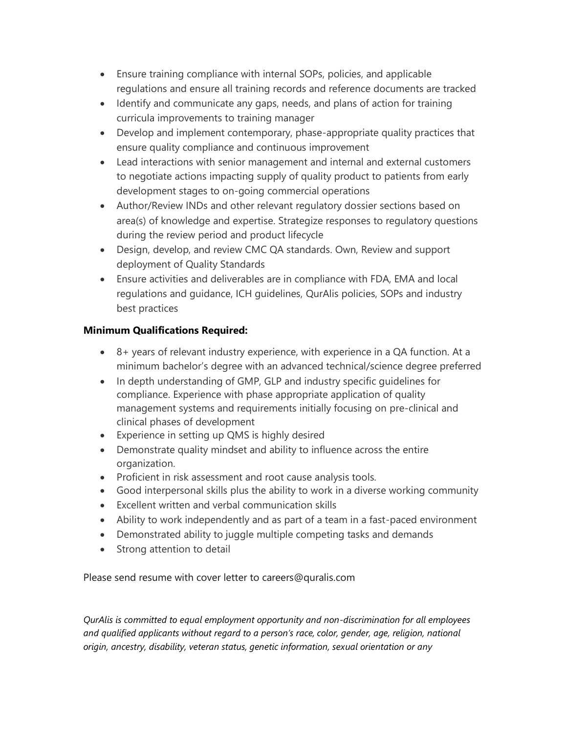- Ensure training compliance with internal SOPs, policies, and applicable regulations and ensure all training records and reference documents are tracked
- Identify and communicate any gaps, needs, and plans of action for training curricula improvements to training manager
- Develop and implement contemporary, phase-appropriate quality practices that ensure quality compliance and continuous improvement
- Lead interactions with senior management and internal and external customers to negotiate actions impacting supply of quality product to patients from early development stages to on-going commercial operations
- Author/Review INDs and other relevant regulatory dossier sections based on area(s) of knowledge and expertise. Strategize responses to regulatory questions during the review period and product lifecycle
- Design, develop, and review CMC QA standards. Own, Review and support deployment of Quality Standards
- Ensure activities and deliverables are in compliance with FDA, EMA and local regulations and guidance, ICH guidelines, QurAlis policies, SOPs and industry best practices

## **Minimum Qualifications Required:**

- 8+ years of relevant industry experience, with experience in a QA function. At a minimum bachelor's degree with an advanced technical/science degree preferred
- In depth understanding of GMP, GLP and industry specific guidelines for compliance. Experience with phase appropriate application of quality management systems and requirements initially focusing on pre-clinical and clinical phases of development
- Experience in setting up QMS is highly desired
- Demonstrate quality mindset and ability to influence across the entire organization.
- Proficient in risk assessment and root cause analysis tools.
- Good interpersonal skills plus the ability to work in a diverse working community
- Excellent written and verbal communication skills
- Ability to work independently and as part of a team in a fast-paced environment
- Demonstrated ability to juggle multiple competing tasks and demands
- Strong attention to detail

Please send resume with cover letter to careers@quralis.com

*QurAlis is committed to equal employment opportunity and non-discrimination for all employees and qualified applicants without regard to a person's race, color, gender, age, religion, national origin, ancestry, disability, veteran status, genetic information, sexual orientation or any*